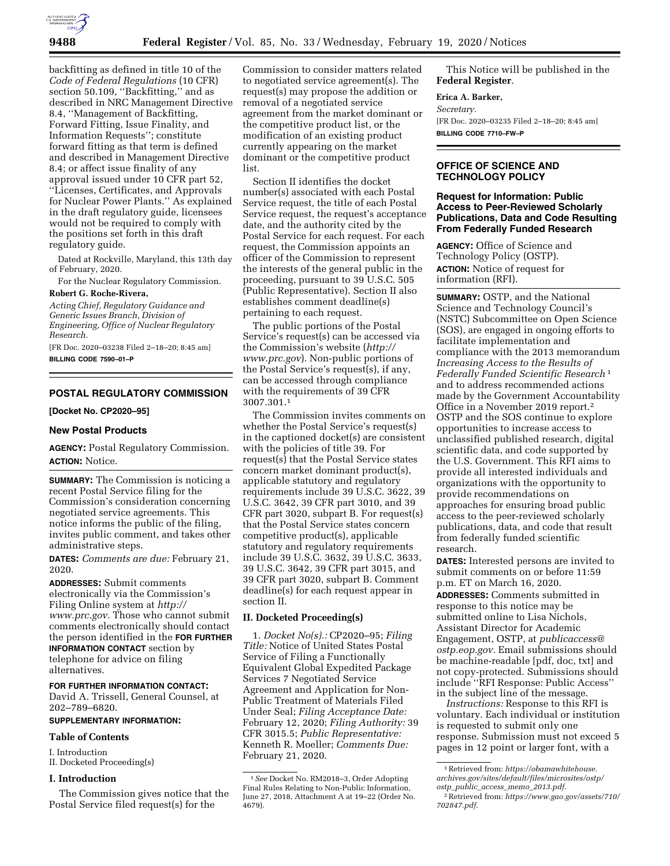

backfitting as defined in title 10 of the *Code of Federal Regulations* (10 CFR) section 50.109, ''Backfitting,'' and as described in NRC Management Directive 8.4, ''Management of Backfitting, Forward Fitting, Issue Finality, and Information Requests''; constitute forward fitting as that term is defined and described in Management Directive 8.4; or affect issue finality of any approval issued under 10 CFR part 52, ''Licenses, Certificates, and Approvals for Nuclear Power Plants.'' As explained in the draft regulatory guide, licensees would not be required to comply with the positions set forth in this draft regulatory guide.

Dated at Rockville, Maryland, this 13th day of February, 2020.

For the Nuclear Regulatory Commission. **Robert G. Roche-Rivera,** 

# *Acting Chief, Regulatory Guidance and Generic Issues Branch, Division of*

*Engineering, Office of Nuclear Regulatory Research.* 

[FR Doc. 2020–03238 Filed 2–18–20; 8:45 am] **BILLING CODE 7590–01–P** 

## **POSTAL REGULATORY COMMISSION**

#### **[Docket No. CP2020–95]**

## **New Postal Products**

**AGENCY:** Postal Regulatory Commission. **ACTION:** Notice.

**SUMMARY:** The Commission is noticing a recent Postal Service filing for the Commission's consideration concerning negotiated service agreements. This notice informs the public of the filing, invites public comment, and takes other administrative steps.

**DATES:** *Comments are due:* February 21, 2020.

**ADDRESSES:** Submit comments electronically via the Commission's Filing Online system at *[http://](http://www.prc.gov) [www.prc.gov.](http://www.prc.gov)* Those who cannot submit comments electronically should contact the person identified in the **FOR FURTHER INFORMATION CONTACT** section by telephone for advice on filing alternatives.

### **FOR FURTHER INFORMATION CONTACT:**

David A. Trissell, General Counsel, at 202–789–6820.

#### **SUPPLEMENTARY INFORMATION:**

**Table of Contents** 

I. Introduction

II. Docketed Proceeding(s)

#### **I. Introduction**

The Commission gives notice that the Postal Service filed request(s) for the

Commission to consider matters related to negotiated service agreement(s). The request(s) may propose the addition or removal of a negotiated service agreement from the market dominant or the competitive product list, or the modification of an existing product currently appearing on the market dominant or the competitive product list.

Section II identifies the docket number(s) associated with each Postal Service request, the title of each Postal Service request, the request's acceptance date, and the authority cited by the Postal Service for each request. For each request, the Commission appoints an officer of the Commission to represent the interests of the general public in the proceeding, pursuant to 39 U.S.C. 505 (Public Representative). Section II also establishes comment deadline(s) pertaining to each request.

The public portions of the Postal Service's request(s) can be accessed via the Commission's website (*[http://](http://www.prc.gov) [www.prc.gov](http://www.prc.gov)*). Non-public portions of the Postal Service's request(s), if any, can be accessed through compliance with the requirements of 39 CFR 3007.301.1

The Commission invites comments on whether the Postal Service's request(s) in the captioned docket(s) are consistent with the policies of title 39. For request(s) that the Postal Service states concern market dominant product(s), applicable statutory and regulatory requirements include 39 U.S.C. 3622, 39 U.S.C. 3642, 39 CFR part 3010, and 39 CFR part 3020, subpart B. For request(s) that the Postal Service states concern competitive product(s), applicable statutory and regulatory requirements include 39 U.S.C. 3632, 39 U.S.C. 3633, 39 U.S.C. 3642, 39 CFR part 3015, and 39 CFR part 3020, subpart B. Comment deadline(s) for each request appear in section II.

#### **II. Docketed Proceeding(s)**

1. *Docket No(s).:* CP2020–95; *Filing Title:* Notice of United States Postal Service of Filing a Functionally Equivalent Global Expedited Package Services 7 Negotiated Service Agreement and Application for Non-Public Treatment of Materials Filed Under Seal; *Filing Acceptance Date:*  February 12, 2020; *Filing Authority:* 39 CFR 3015.5; *Public Representative:*  Kenneth R. Moeller; *Comments Due:*  February 21, 2020.

This Notice will be published in the **Federal Register**.

#### **Erica A. Barker,**

*Secretary.*  [FR Doc. 2020–03235 Filed 2–18–20; 8:45 am] **BILLING CODE 7710–FW–P** 

#### **OFFICE OF SCIENCE AND TECHNOLOGY POLICY**

#### **Request for Information: Public Access to Peer-Reviewed Scholarly Publications, Data and Code Resulting From Federally Funded Research**

**AGENCY:** Office of Science and Technology Policy (OSTP). **ACTION:** Notice of request for information (RFI).

**SUMMARY:** OSTP, and the National Science and Technology Council's (NSTC) Subcommittee on Open Science (SOS), are engaged in ongoing efforts to facilitate implementation and compliance with the 2013 memorandum *Increasing Access to the Results of Federally Funded Scientific Research* 1 and to address recommended actions made by the Government Accountability Office in a November 2019 report.2 OSTP and the SOS continue to explore opportunities to increase access to unclassified published research, digital scientific data, and code supported by the U.S. Government. This RFI aims to provide all interested individuals and organizations with the opportunity to provide recommendations on approaches for ensuring broad public access to the peer-reviewed scholarly publications, data, and code that result from federally funded scientific research.

**DATES:** Interested persons are invited to submit comments on or before 11:59 p.m. ET on March 16, 2020.

**ADDRESSES:** Comments submitted in response to this notice may be submitted online to Lisa Nichols, Assistant Director for Academic Engagement, OSTP, at *[publicaccess@](mailto:publicaccess@ostp.eop.gov) [ostp.eop.gov.](mailto:publicaccess@ostp.eop.gov)* Email submissions should be machine-readable [pdf, doc, txt] and not copy-protected. Submissions should include ''RFI Response: Public Access'' in the subject line of the message.

*Instructions:* Response to this RFI is voluntary. Each individual or institution is requested to submit only one response. Submission must not exceed 5 pages in 12 point or larger font, with a

<sup>1</sup>*See* Docket No. RM2018–3, Order Adopting Final Rules Relating to Non-Public Information, June 27, 2018, Attachment A at 19–22 (Order No. 4679).

<sup>1</sup>Retrieved from: *[https://obamawhitehouse.](https://obamawhitehouse.archives.gov/sites/default/files/microsites/ostp/ostp_public_access_memo_2013.pdf) [archives.gov/sites/default/files/microsites/ostp/](https://obamawhitehouse.archives.gov/sites/default/files/microsites/ostp/ostp_public_access_memo_2013.pdf)  ostp*\_*public*\_*access*\_*memo*\_*[2013.pdf.](https://obamawhitehouse.archives.gov/sites/default/files/microsites/ostp/ostp_public_access_memo_2013.pdf)* 

<sup>2</sup>Retrieved from: *[https://www.gao.gov/assets/710/](https://www.gao.gov/assets/710/702847.pdf)  [702847.pdf.](https://www.gao.gov/assets/710/702847.pdf)*